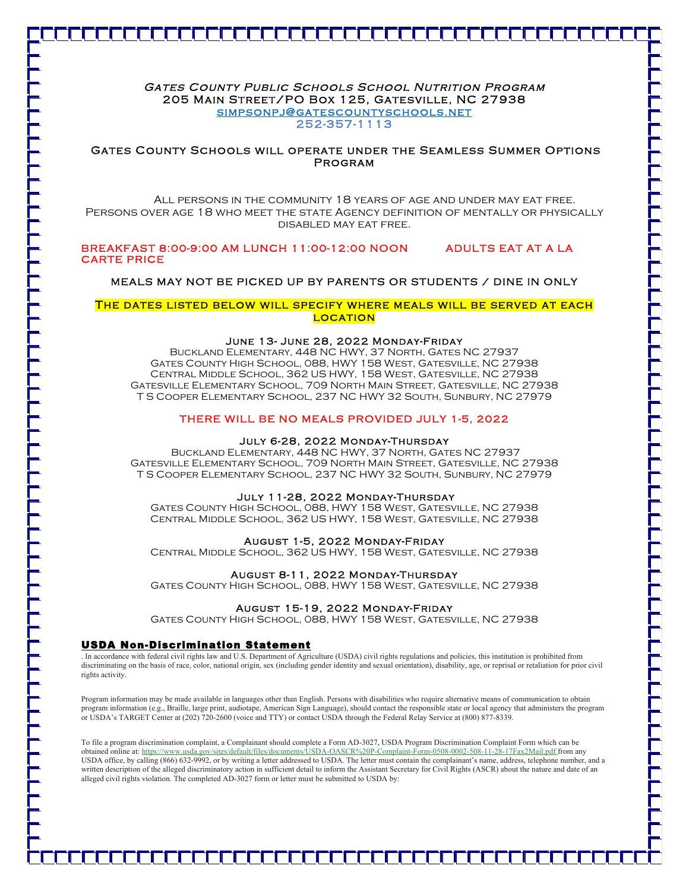# Gates County Public Schools School Nutrition Program 205 Main Street/PO Box 125, Gatesville, NC 27938 simpsonpj@gatescountyschools.net 252-357-1113

## Gates County Schools will operate under the Seamless Summer Options Program

 All persons in the community 18 years of age and under may eat free. Persons over age 18 who meet the state Agency definition of mentally or physically disabled may eat free.

### BREAKFAST 8:00-9:00 AM LUNCH 11:00-12:00 NOON ADULTS EAT AT A LA CARTE PRICE

# MEALS MAY NOT BE PICKED UP BY PARENTS OR STUDENTS / DINE IN ONLY

#### The dates listed below will specify where meals will be served at each LOCATION

#### June 13- June 28, 2022 Monday-Friday

Buckland Elementary, 448 NC HWY, 37 North, Gates NC 27937 Gates County High School, 088, HWY 158 West, Gatesville, NC 27938 Central Middle School, 362 US HWY, 158 West, Gatesville, NC 27938 Gatesville Elementary School, 709 North Main Street, Gatesville, NC 27938 T S Cooper Elementary School, 237 NC HWY 32 South, Sunbury, NC 27979

## THERE WILL BE NO MEALS PROVIDED JULY 1-5, 2022

#### July 6-28, 2022 Monday-Thursday

Buckland Elementary, 448 NC HWY, 37 North, Gates NC 27937 Gatesville Elementary School, 709 North Main Street, Gatesville, NC 27938 T S Cooper Elementary School, 237 NC HWY 32 South, Sunbury, NC 27979

# July 11-28, 2022 Monday-Thursday

Gates County High School, 088, HWY 158 West, Gatesville, NC 27938 Central Middle School, 362 US HWY, 158 West, Gatesville, NC 27938

#### August 1-5, 2022 Monday-Friday

Central Middle School, 362 US HWY, 158 West, Gatesville, NC 27938

#### August 8-11, 2022 Monday-Thursday

Gates County High School, 088, HWY 158 West, Gatesville, NC 27938

#### August 15-19, 2022 Monday-Friday

Gates County High School, 088, HWY 158 West, Gatesville, NC 27938

#### USDA Non-Discrimination Statement

. In accordance with federal civil rights law and U.S. Department of Agriculture (USDA) civil rights regulations and policies, this institution is prohibited from discriminating on the basis of race, color, national origin, sex (including gender identity and sexual orientation), disability, age, or reprisal or retaliation for prior civil rights activity.

Program information may be made available in languages other than English. Persons with disabilities who require alternative means of communication to obtain program information (e.g., Braille, large print, audiotape, American Sign Language), should contact the responsible state or local agency that administers the program or USDA's TARGET Center at (202) 720-2600 (voice and TTY) or contact USDA through the Federal Relay Service at (800) 877-8339.

To file a program discrimination complaint, a Complainant should complete a Form AD-3027, USDA Program Discrimination Complaint Form which can be obtained online at: https://www.usda.gov/sites/default/files/documents/USDA-OASCR%20P-Complaint-Form-0508-0002-508-11-28-17Fax2Mail.pdf from any USDA office, by calling (866) 632-9992, or by writing a letter addressed to USDA. The letter must contain the complainant's name, address, telephone number, and a written description of the alleged discriminatory action in sufficient detail to inform the Assistant Secretary for Civil Rights (ASCR) about the nature and date of an alleged civil rights violation. The completed AD-3027 form or letter must be submitted to USDA by: